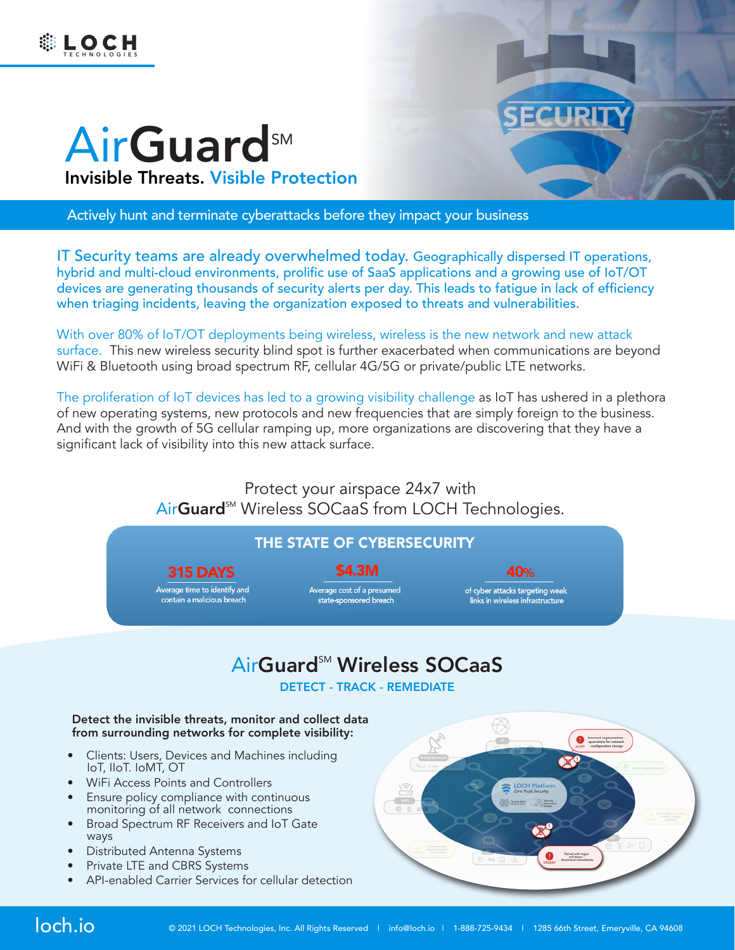



# AirGuard<sup>SM</sup> Invisible Threats. Visible Protection

Actively hunt and terminate cyberattacks before they impact your business

IT Security teams are already overwhelmed today. Geographically dispersed IT operations, hybrid and multi-cloud environments, prolific use of SaaS applications and a growing use of IoT/OT devices are generating thousands of security alerts per day. This leads to fatigue in lack of efficiency when triaging incidents, leaving the organization exposed to threats and vulnerabilities.

With over 80% of IoT/OT deployments being wireless, wireless is the new network and new attack surface. This new wireless security blind spot is further exacerbated when communications are beyond WiFi & Bluetooth using broad spectrum RF, cellular 4G/5G or private/public LTE networks.

The proliferation of IoT devices has led to a growing visibility challenge as IoT has ushered in a plethora of new operating systems, new protocols and new frequencies that are simply foreign to the business. And with the growth of 5G cellular ramping up, more organizations are discovering that they have a significant lack of visibility into this new attack surface.

> Protect your airspace 24x7 with AirGuard<sup>SM</sup> Wireless SOCaaS from LOCH Technologies.

## THE STATE OF CYBERSECURITY

#### **S4.3M**

**315 DAYS** 

Average time to identify and<br>contain a malicious breach

Average cost of a presumed<br>state-sponsored breach

40% of cyber attacks targeting weak<br>links in wireless infrastructure

## AirGuard<sup>™</sup> Wireless SOCaaS

DETECT - TRACK - REMEDIATE

#### Detect the invisible threats, monitor and collect data from surrounding networks for complete visibility:

- Clients: Users, Devices and Machines including IoT, IIoT. IoMT, OT
- WiFi Access Points and Controllers
- Ensure policy compliance with continuous monitoring of all network connections
- Broad Spectrum RF Receivers and IoT Gate ways
- Distributed Antenna Systems
- Private LTE and CBRS Systems
- API-enabled Carrier Services for cellular detection